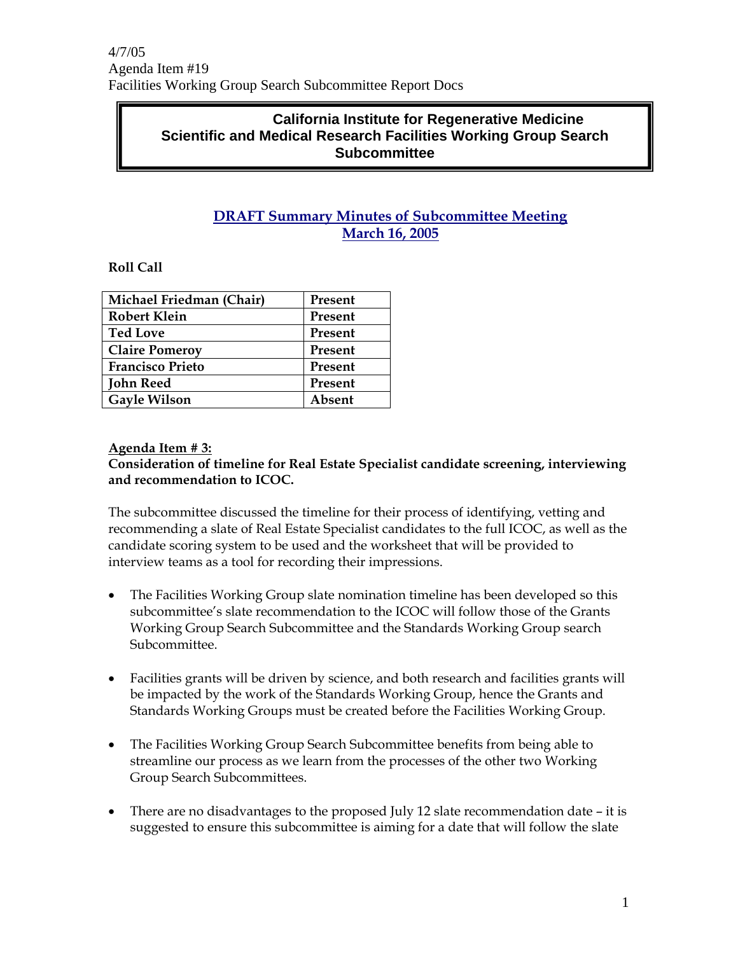### **California Institute for Regenerative Medicine Scientific and Medical Research Facilities Working Group Search Subcommittee**

### **DRAFT Summary Minutes of Subcommittee Meeting March 16, 2005**

### **Roll Call**

| Michael Friedman (Chair) | Present |
|--------------------------|---------|
| <b>Robert Klein</b>      | Present |
| <b>Ted Love</b>          | Present |
| <b>Claire Pomeroy</b>    | Present |
| <b>Francisco Prieto</b>  | Present |
| <b>John Reed</b>         | Present |
| <b>Gayle Wilson</b>      | Absent  |
|                          |         |

### **Agenda Item # 3:**

#### **Consideration of timeline for Real Estate Specialist candidate screening, interviewing and recommendation to ICOC.**

The subcommittee discussed the timeline for their process of identifying, vetting and recommending a slate of Real Estate Specialist candidates to the full ICOC, as well as the candidate scoring system to be used and the worksheet that will be provided to interview teams as a tool for recording their impressions.

- The Facilities Working Group slate nomination timeline has been developed so this subcommittee's slate recommendation to the ICOC will follow those of the Grants Working Group Search Subcommittee and the Standards Working Group search Subcommittee.
- Facilities grants will be driven by science, and both research and facilities grants will be impacted by the work of the Standards Working Group, hence the Grants and Standards Working Groups must be created before the Facilities Working Group.
- The Facilities Working Group Search Subcommittee benefits from being able to streamline our process as we learn from the processes of the other two Working Group Search Subcommittees.
- There are no disadvantages to the proposed July 12 slate recommendation date it is suggested to ensure this subcommittee is aiming for a date that will follow the slate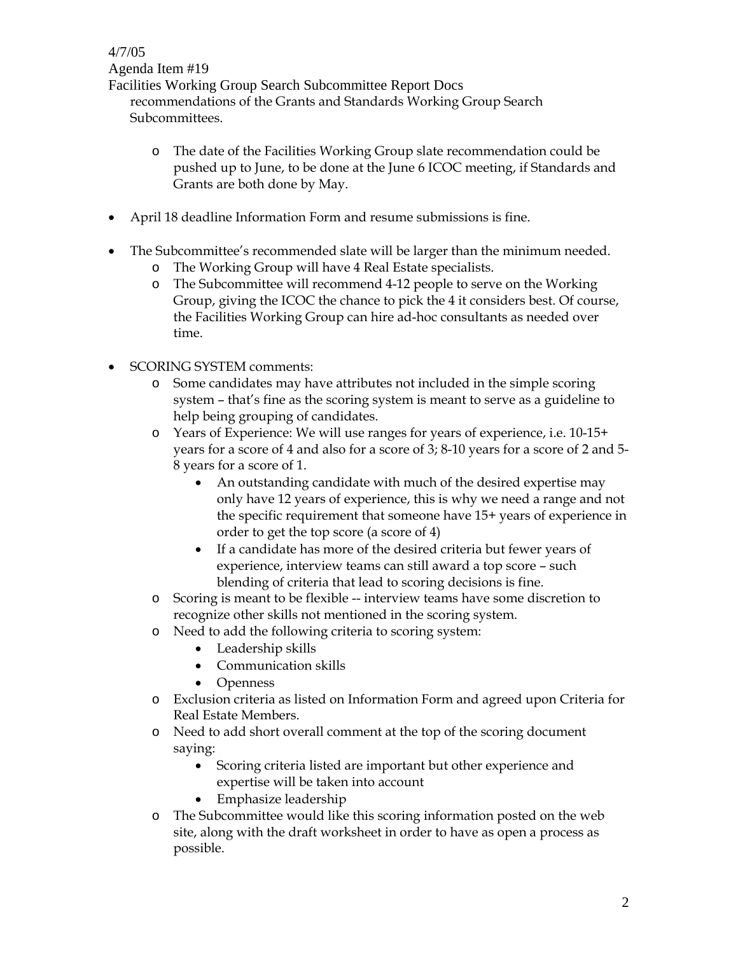Facilities Working Group Search Subcommittee Report Docs recommendations of the Grants and Standards Working Group Search Subcommittees.

- o The date of the Facilities Working Group slate recommendation could be pushed up to June, to be done at the June 6 ICOC meeting, if Standards and Grants are both done by May.
- April 18 deadline Information Form and resume submissions is fine.
- The Subcommittee's recommended slate will be larger than the minimum needed.
	- o The Working Group will have 4 Real Estate specialists.
	- o The Subcommittee will recommend 4-12 people to serve on the Working Group, giving the ICOC the chance to pick the 4 it considers best. Of course, the Facilities Working Group can hire ad-hoc consultants as needed over time.
- SCORING SYSTEM comments:
	- o Some candidates may have attributes not included in the simple scoring system – that's fine as the scoring system is meant to serve as a guideline to help being grouping of candidates.
	- o Years of Experience: We will use ranges for years of experience, i.e. 10-15+ years for a score of 4 and also for a score of 3; 8-10 years for a score of 2 and 5- 8 years for a score of 1.
		- An outstanding candidate with much of the desired expertise may only have 12 years of experience, this is why we need a range and not the specific requirement that someone have 15+ years of experience in order to get the top score (a score of 4)
		- If a candidate has more of the desired criteria but fewer years of experience, interview teams can still award a top score – such blending of criteria that lead to scoring decisions is fine.
	- o Scoring is meant to be flexible -- interview teams have some discretion to recognize other skills not mentioned in the scoring system.
	- o Need to add the following criteria to scoring system:
		- Leadership skills
		- Communication skills
		- Openness
	- o Exclusion criteria as listed on Information Form and agreed upon Criteria for Real Estate Members.
	- o Need to add short overall comment at the top of the scoring document saying:
		- Scoring criteria listed are important but other experience and expertise will be taken into account
		- Emphasize leadership
	- o The Subcommittee would like this scoring information posted on the web site, along with the draft worksheet in order to have as open a process as possible.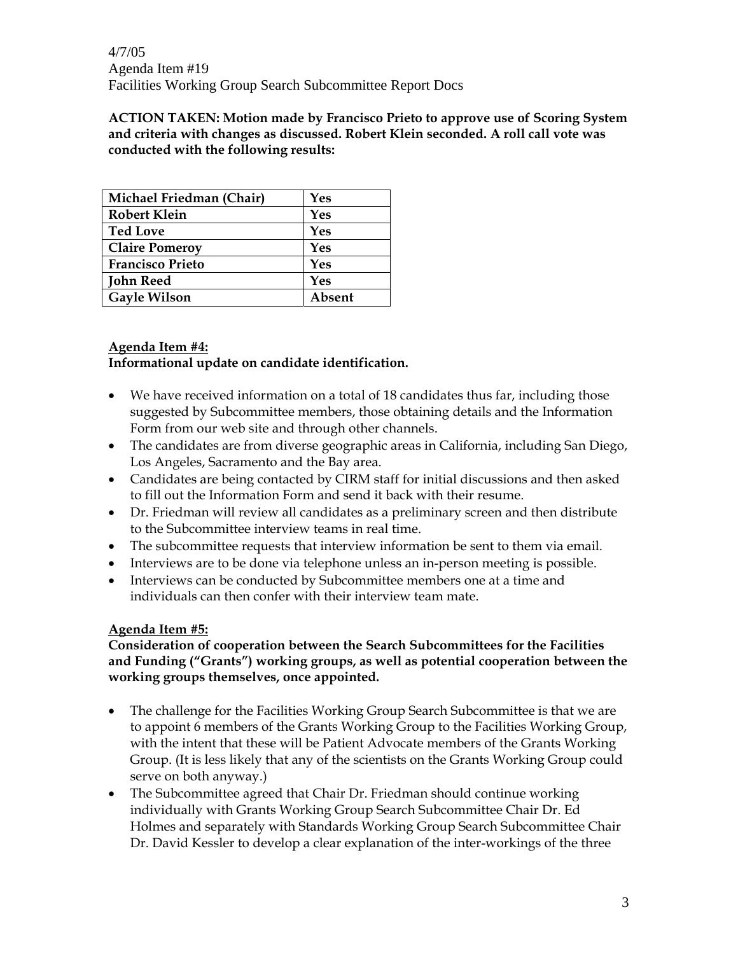**ACTION TAKEN: Motion made by Francisco Prieto to approve use of Scoring System and criteria with changes as discussed. Robert Klein seconded. A roll call vote was conducted with the following results:** 

| Michael Friedman (Chair) | Yes    |
|--------------------------|--------|
| <b>Robert Klein</b>      | Yes    |
| <b>Ted Love</b>          | Yes    |
| <b>Claire Pomeroy</b>    | Yes    |
| <b>Francisco Prieto</b>  | Yes    |
| <b>John Reed</b>         | Yes    |
| <b>Gayle Wilson</b>      | Absent |

#### **Agenda Item #4: Informational update on candidate identification.**

- We have received information on a total of 18 candidates thus far, including those suggested by Subcommittee members, those obtaining details and the Information Form from our web site and through other channels.
- The candidates are from diverse geographic areas in California, including San Diego, Los Angeles, Sacramento and the Bay area.
- Candidates are being contacted by CIRM staff for initial discussions and then asked to fill out the Information Form and send it back with their resume.
- Dr. Friedman will review all candidates as a preliminary screen and then distribute to the Subcommittee interview teams in real time.
- The subcommittee requests that interview information be sent to them via email.
- Interviews are to be done via telephone unless an in-person meeting is possible.
- Interviews can be conducted by Subcommittee members one at a time and individuals can then confer with their interview team mate.

### **Agenda Item #5:**

**Consideration of cooperation between the Search Subcommittees for the Facilities and Funding ("Grants") working groups, as well as potential cooperation between the working groups themselves, once appointed.** 

- The challenge for the Facilities Working Group Search Subcommittee is that we are to appoint 6 members of the Grants Working Group to the Facilities Working Group, with the intent that these will be Patient Advocate members of the Grants Working Group. (It is less likely that any of the scientists on the Grants Working Group could serve on both anyway.)
- The Subcommittee agreed that Chair Dr. Friedman should continue working individually with Grants Working Group Search Subcommittee Chair Dr. Ed Holmes and separately with Standards Working Group Search Subcommittee Chair Dr. David Kessler to develop a clear explanation of the inter-workings of the three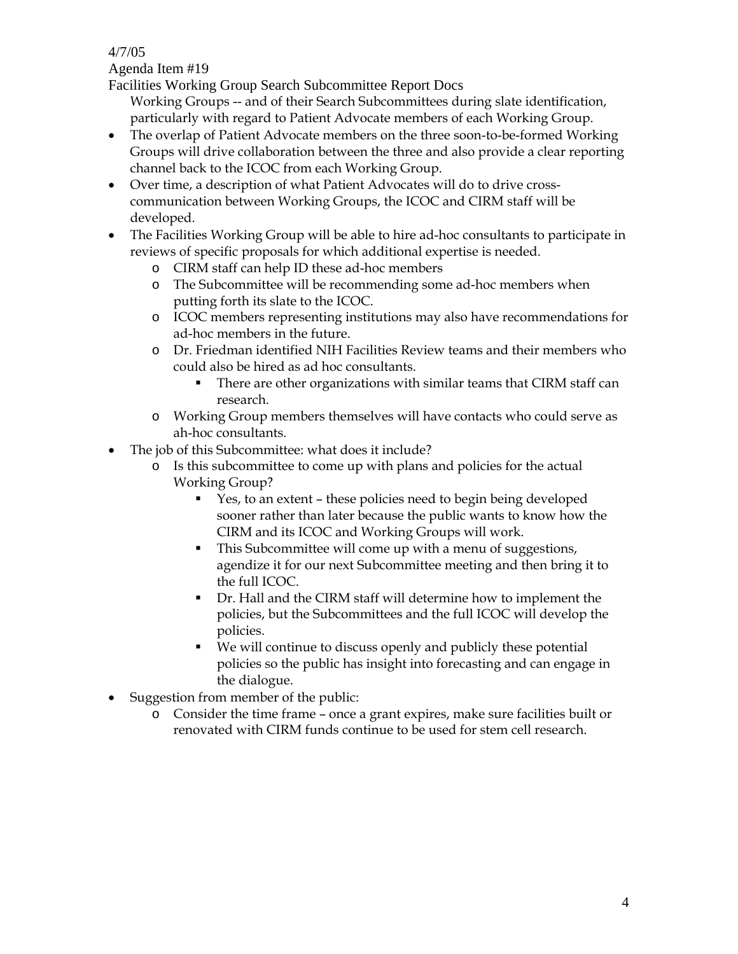4/7/05

Agenda Item #19

Facilities Working Group Search Subcommittee Report Docs

Working Groups -- and of their Search Subcommittees during slate identification, particularly with regard to Patient Advocate members of each Working Group.

- The overlap of Patient Advocate members on the three soon-to-be-formed Working Groups will drive collaboration between the three and also provide a clear reporting channel back to the ICOC from each Working Group.
- Over time, a description of what Patient Advocates will do to drive crosscommunication between Working Groups, the ICOC and CIRM staff will be developed.
- The Facilities Working Group will be able to hire ad-hoc consultants to participate in reviews of specific proposals for which additional expertise is needed.
	- o CIRM staff can help ID these ad-hoc members
	- o The Subcommittee will be recommending some ad-hoc members when putting forth its slate to the ICOC.
	- o ICOC members representing institutions may also have recommendations for ad-hoc members in the future.
	- o Dr. Friedman identified NIH Facilities Review teams and their members who could also be hired as ad hoc consultants.
		- There are other organizations with similar teams that CIRM staff can research.
	- o Working Group members themselves will have contacts who could serve as ah-hoc consultants.
- The job of this Subcommittee: what does it include?
	- o Is this subcommittee to come up with plans and policies for the actual Working Group?
		- Yes, to an extent these policies need to begin being developed sooner rather than later because the public wants to know how the CIRM and its ICOC and Working Groups will work.
		- This Subcommittee will come up with a menu of suggestions, agendize it for our next Subcommittee meeting and then bring it to the full ICOC.
		- Dr. Hall and the CIRM staff will determine how to implement the policies, but the Subcommittees and the full ICOC will develop the policies.
		- We will continue to discuss openly and publicly these potential policies so the public has insight into forecasting and can engage in the dialogue.
- Suggestion from member of the public:
	- o Consider the time frame once a grant expires, make sure facilities built or renovated with CIRM funds continue to be used for stem cell research.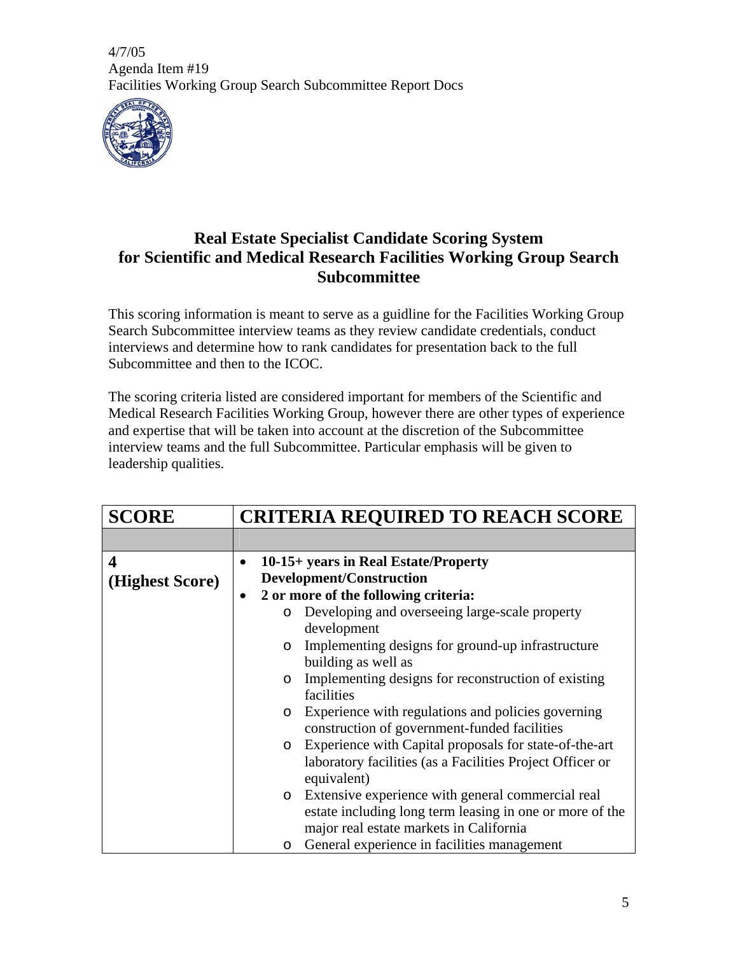

# **Real Estate Specialist Candidate Scoring System for Scientific and Medical Research Facilities Working Group Search Subcommittee**

This scoring information is meant to serve as a guidline for the Facilities Working Group Search Subcommittee interview teams as they review candidate credentials, conduct interviews and determine how to rank candidates for presentation back to the full Subcommittee and then to the ICOC.

The scoring criteria listed are considered important for members of the Scientific and Medical Research Facilities Working Group, however there are other types of experience and expertise that will be taken into account at the discretion of the Subcommittee interview teams and the full Subcommittee. Particular emphasis will be given to leadership qualities.

| <b>SCORE</b>    | <b>CRITERIA REQUIRED TO REACH SCORE</b> |                                                                   |  |
|-----------------|-----------------------------------------|-------------------------------------------------------------------|--|
|                 |                                         |                                                                   |  |
| 4               |                                         | 10-15+ years in Real Estate/Property                              |  |
| (Highest Score) |                                         | Development/Construction                                          |  |
|                 | $\bullet$                               | 2 or more of the following criteria:                              |  |
|                 |                                         | Developing and overseeing large-scale property<br>$\circ$         |  |
|                 |                                         | development                                                       |  |
|                 |                                         | Implementing designs for ground-up infrastructure<br>$\circ$      |  |
|                 |                                         | building as well as                                               |  |
|                 |                                         | Implementing designs for reconstruction of existing<br>$\circ$    |  |
|                 |                                         | facilities                                                        |  |
|                 |                                         | Experience with regulations and policies governing<br>$\circ$     |  |
|                 |                                         | construction of government-funded facilities                      |  |
|                 |                                         | Experience with Capital proposals for state-of-the-art<br>$\circ$ |  |
|                 |                                         | laboratory facilities (as a Facilities Project Officer or         |  |
|                 |                                         | equivalent)                                                       |  |
|                 |                                         | Extensive experience with general commercial real<br>$\circ$      |  |
|                 |                                         | estate including long term leasing in one or more of the          |  |
|                 |                                         | major real estate markets in California                           |  |
|                 |                                         | General experience in facilities management<br>O                  |  |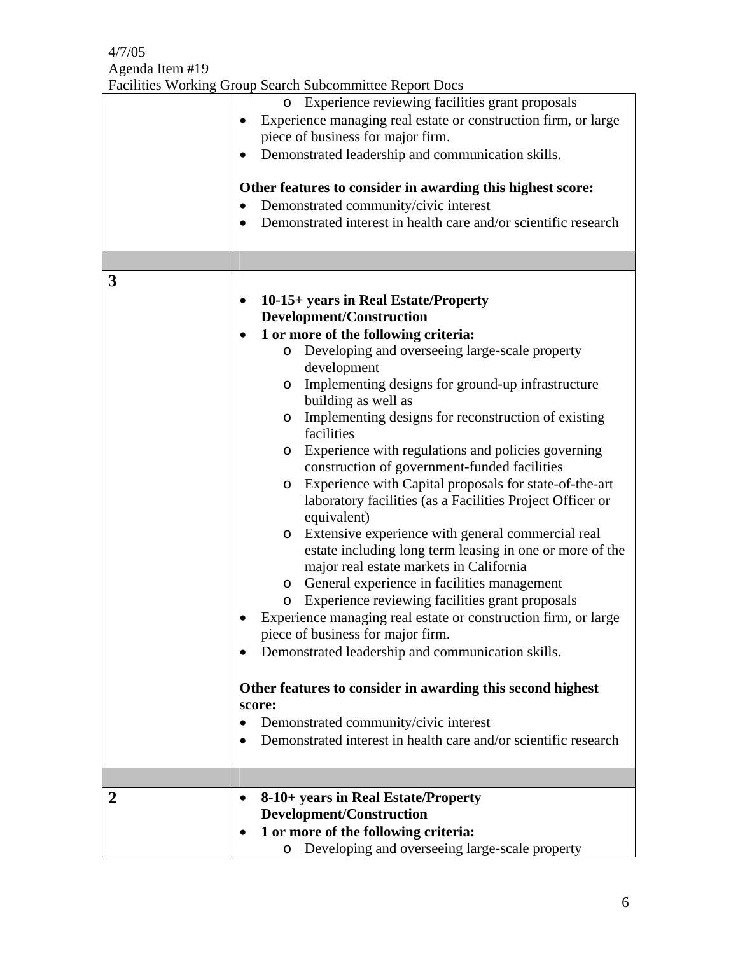|                | Facilities Working Group Search Subcommittee Report Docs                                                                                                                                                                                                                                                                                                                                                                                                                                                                                                                                                                                                                                                                                                                                                                                                                                                                                                                                                                                                                                                                                                                                                                                 |
|----------------|------------------------------------------------------------------------------------------------------------------------------------------------------------------------------------------------------------------------------------------------------------------------------------------------------------------------------------------------------------------------------------------------------------------------------------------------------------------------------------------------------------------------------------------------------------------------------------------------------------------------------------------------------------------------------------------------------------------------------------------------------------------------------------------------------------------------------------------------------------------------------------------------------------------------------------------------------------------------------------------------------------------------------------------------------------------------------------------------------------------------------------------------------------------------------------------------------------------------------------------|
|                | Experience reviewing facilities grant proposals<br>$\circ$<br>Experience managing real estate or construction firm, or large<br>piece of business for major firm.<br>Demonstrated leadership and communication skills.<br>Other features to consider in awarding this highest score:<br>Demonstrated community/civic interest<br>Demonstrated interest in health care and/or scientific research<br>$\bullet$                                                                                                                                                                                                                                                                                                                                                                                                                                                                                                                                                                                                                                                                                                                                                                                                                            |
|                |                                                                                                                                                                                                                                                                                                                                                                                                                                                                                                                                                                                                                                                                                                                                                                                                                                                                                                                                                                                                                                                                                                                                                                                                                                          |
| 3              | 10-15+ years in Real Estate/Property<br>Development/Construction<br>1 or more of the following criteria:<br>Developing and overseeing large-scale property<br>O<br>development<br>Implementing designs for ground-up infrastructure<br>O<br>building as well as<br>Implementing designs for reconstruction of existing<br>O<br>facilities<br>Experience with regulations and policies governing<br>O<br>construction of government-funded facilities<br>Experience with Capital proposals for state-of-the-art<br>O<br>laboratory facilities (as a Facilities Project Officer or<br>equivalent)<br>Extensive experience with general commercial real<br>O<br>estate including long term leasing in one or more of the<br>major real estate markets in California<br>General experience in facilities management<br>$\circ$<br>Experience reviewing facilities grant proposals<br>$\circ$<br>Experience managing real estate or construction firm, or large<br>piece of business for major firm.<br>Demonstrated leadership and communication skills.<br>Other features to consider in awarding this second highest<br>score:<br>Demonstrated community/civic interest<br>Demonstrated interest in health care and/or scientific research |
| $\overline{2}$ | 8-10+ years in Real Estate/Property                                                                                                                                                                                                                                                                                                                                                                                                                                                                                                                                                                                                                                                                                                                                                                                                                                                                                                                                                                                                                                                                                                                                                                                                      |
|                | Development/Construction<br>1 or more of the following criteria:<br>Developing and overseeing large-scale property<br>O                                                                                                                                                                                                                                                                                                                                                                                                                                                                                                                                                                                                                                                                                                                                                                                                                                                                                                                                                                                                                                                                                                                  |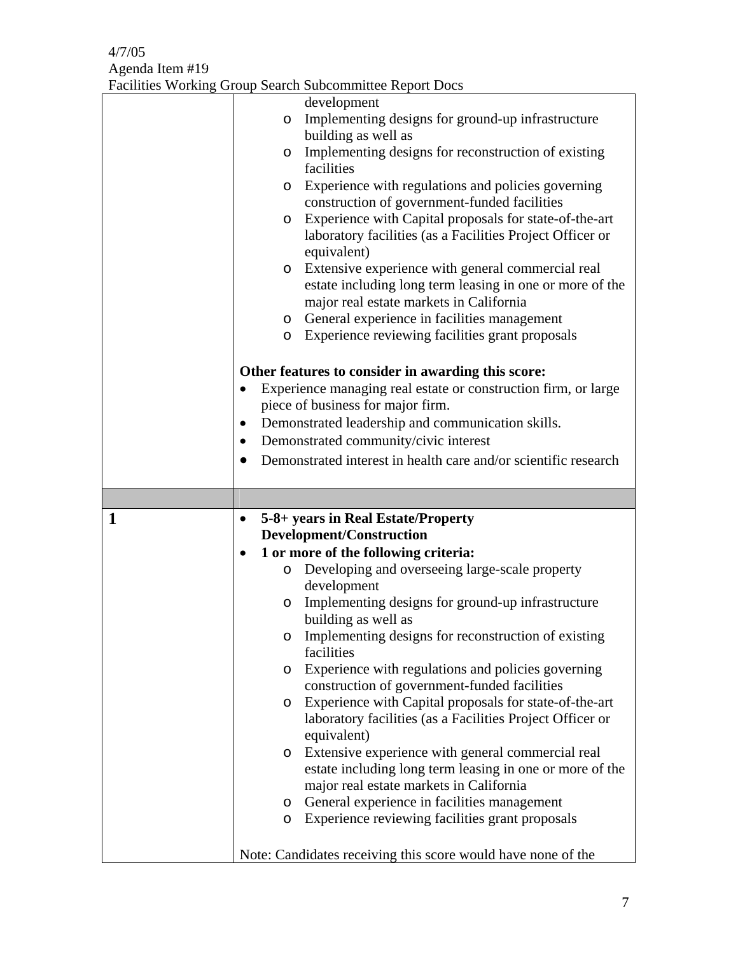| Facilities Working Group Search Subcommittee Report Docs |
|----------------------------------------------------------|
|----------------------------------------------------------|

|   | development                                                       |
|---|-------------------------------------------------------------------|
|   | Implementing designs for ground-up infrastructure<br>$\circ$      |
|   | building as well as                                               |
|   | Implementing designs for reconstruction of existing<br>$\circ$    |
|   | facilities                                                        |
|   | Experience with regulations and policies governing<br>O           |
|   | construction of government-funded facilities                      |
|   | Experience with Capital proposals for state-of-the-art<br>$\circ$ |
|   | laboratory facilities (as a Facilities Project Officer or         |
|   | equivalent)                                                       |
|   | Extensive experience with general commercial real<br>$\circ$      |
|   | estate including long term leasing in one or more of the          |
|   | major real estate markets in California                           |
|   | General experience in facilities management<br>O                  |
|   | Experience reviewing facilities grant proposals<br>$\circ$        |
|   |                                                                   |
|   | Other features to consider in awarding this score:                |
|   | Experience managing real estate or construction firm, or large    |
|   | piece of business for major firm.                                 |
|   | Demonstrated leadership and communication skills.                 |
|   | Demonstrated community/civic interest                             |
|   | Demonstrated interest in health care and/or scientific research   |
|   |                                                                   |
|   |                                                                   |
|   |                                                                   |
| 1 | 5-8+ years in Real Estate/Property<br>$\bullet$                   |
|   | Development/Construction                                          |
|   | 1 or more of the following criteria:<br>$\bullet$                 |
|   | Developing and overseeing large-scale property<br>$\circ$         |
|   | development                                                       |
|   | Implementing designs for ground-up infrastructure<br>O            |
|   | building as well as                                               |
|   | Implementing designs for reconstruction of existing<br>O          |
|   | facilities                                                        |
|   | Experience with regulations and policies governing<br>O           |
|   | construction of government-funded facilities                      |
|   | Experience with Capital proposals for state-of-the-art<br>O       |
|   | laboratory facilities (as a Facilities Project Officer or         |
|   | equivalent)                                                       |
|   | Extensive experience with general commercial real<br>$\circ$      |
|   | estate including long term leasing in one or more of the          |
|   | major real estate markets in California                           |
|   | General experience in facilities management<br>O                  |
|   | Experience reviewing facilities grant proposals<br>$\circ$        |
|   | Note: Candidates receiving this score would have none of the      |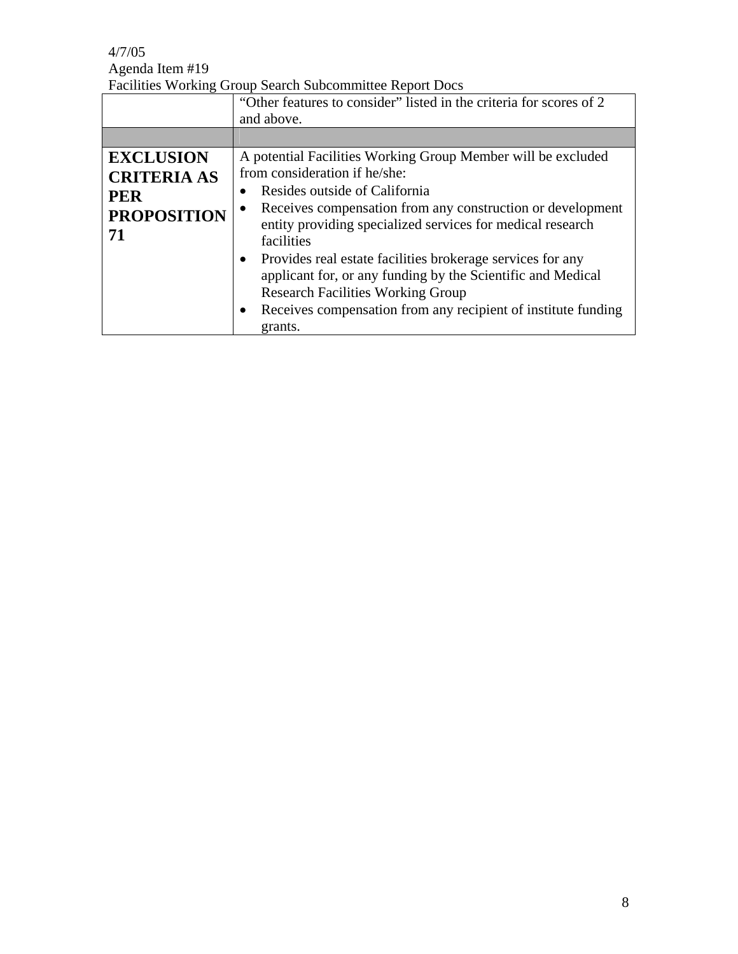### Facilities Working Group Search Subcommittee Report Docs

|                                                                                  | "Other features to consider" listed in the criteria for scores of 2<br>and above.                                                                                                                                                                                                                                                                                                                                                                                                                                                                                                 |
|----------------------------------------------------------------------------------|-----------------------------------------------------------------------------------------------------------------------------------------------------------------------------------------------------------------------------------------------------------------------------------------------------------------------------------------------------------------------------------------------------------------------------------------------------------------------------------------------------------------------------------------------------------------------------------|
|                                                                                  |                                                                                                                                                                                                                                                                                                                                                                                                                                                                                                                                                                                   |
| <b>EXCLUSION</b><br><b>CRITERIA AS</b><br><b>PER</b><br><b>PROPOSITION</b><br>71 | A potential Facilities Working Group Member will be excluded<br>from consideration if he/she:<br>Resides outside of California<br>$\bullet$<br>Receives compensation from any construction or development<br>$\bullet$<br>entity providing specialized services for medical research<br>facilities<br>Provides real estate facilities brokerage services for any<br>$\bullet$<br>applicant for, or any funding by the Scientific and Medical<br><b>Research Facilities Working Group</b><br>Receives compensation from any recipient of institute funding<br>$\bullet$<br>grants. |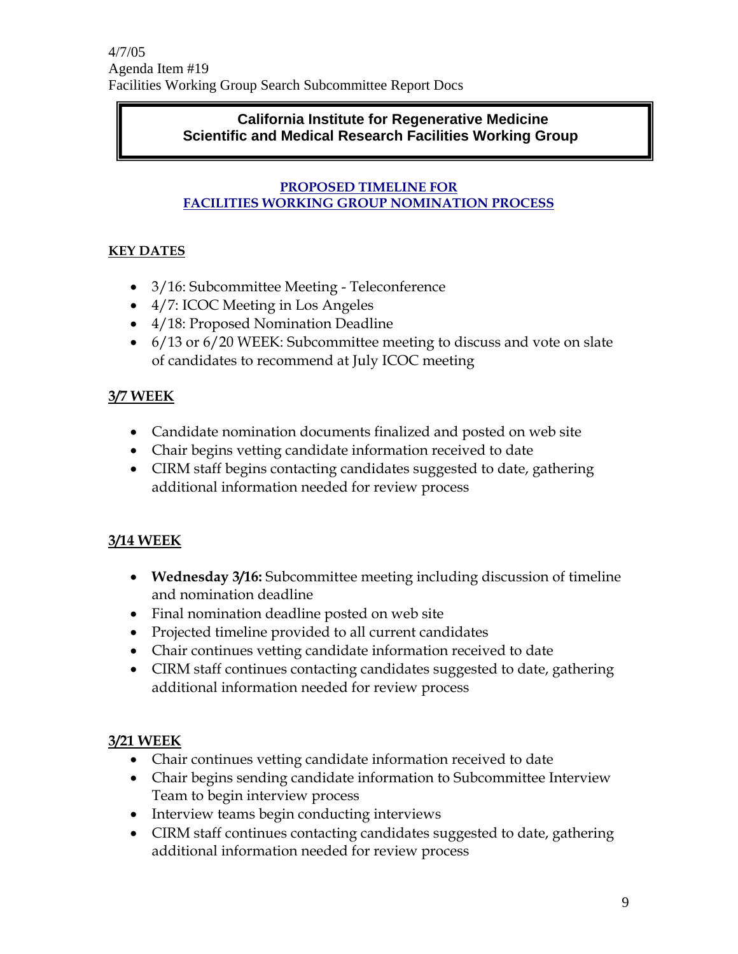### **California Institute for Regenerative Medicine Scientific and Medical Research Facilities Working Group**

### **PROPOSED TIMELINE FOR FACILITIES WORKING GROUP NOMINATION PROCESS**

# **KEY DATES**

- 3/16: Subcommittee Meeting Teleconference
- 4/7: ICOC Meeting in Los Angeles
- 4/18: Proposed Nomination Deadline
- 6/13 or 6/20 WEEK: Subcommittee meeting to discuss and vote on slate of candidates to recommend at July ICOC meeting

# **3/7 WEEK**

- Candidate nomination documents finalized and posted on web site
- Chair begins vetting candidate information received to date
- CIRM staff begins contacting candidates suggested to date, gathering additional information needed for review process

# **3/14 WEEK**

- **Wednesday 3/16:** Subcommittee meeting including discussion of timeline and nomination deadline
- Final nomination deadline posted on web site
- Projected timeline provided to all current candidates
- Chair continues vetting candidate information received to date
- CIRM staff continues contacting candidates suggested to date, gathering additional information needed for review process

# **3/21 WEEK**

- Chair continues vetting candidate information received to date
- Chair begins sending candidate information to Subcommittee Interview Team to begin interview process
- Interview teams begin conducting interviews
- CIRM staff continues contacting candidates suggested to date, gathering additional information needed for review process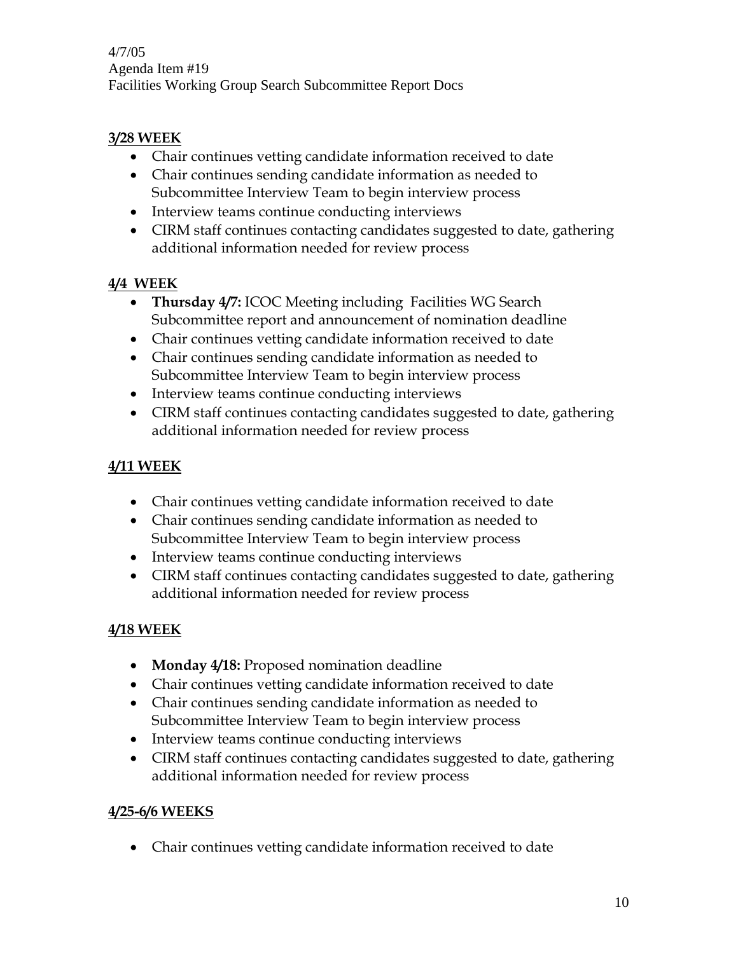### **3/28 WEEK**

- Chair continues vetting candidate information received to date
- Chair continues sending candidate information as needed to Subcommittee Interview Team to begin interview process
- Interview teams continue conducting interviews
- CIRM staff continues contacting candidates suggested to date, gathering additional information needed for review process

# **4/4 WEEK**

- **Thursday 4/7:** ICOC Meeting including Facilities WG Search Subcommittee report and announcement of nomination deadline
- Chair continues vetting candidate information received to date
- Chair continues sending candidate information as needed to Subcommittee Interview Team to begin interview process
- Interview teams continue conducting interviews
- CIRM staff continues contacting candidates suggested to date, gathering additional information needed for review process

# **4/11 WEEK**

- Chair continues vetting candidate information received to date
- Chair continues sending candidate information as needed to Subcommittee Interview Team to begin interview process
- Interview teams continue conducting interviews
- CIRM staff continues contacting candidates suggested to date, gathering additional information needed for review process

# **4/18 WEEK**

- **Monday 4/18:** Proposed nomination deadline
- Chair continues vetting candidate information received to date
- Chair continues sending candidate information as needed to Subcommittee Interview Team to begin interview process
- Interview teams continue conducting interviews
- CIRM staff continues contacting candidates suggested to date, gathering additional information needed for review process

# **4/25-6/6 WEEKS**

• Chair continues vetting candidate information received to date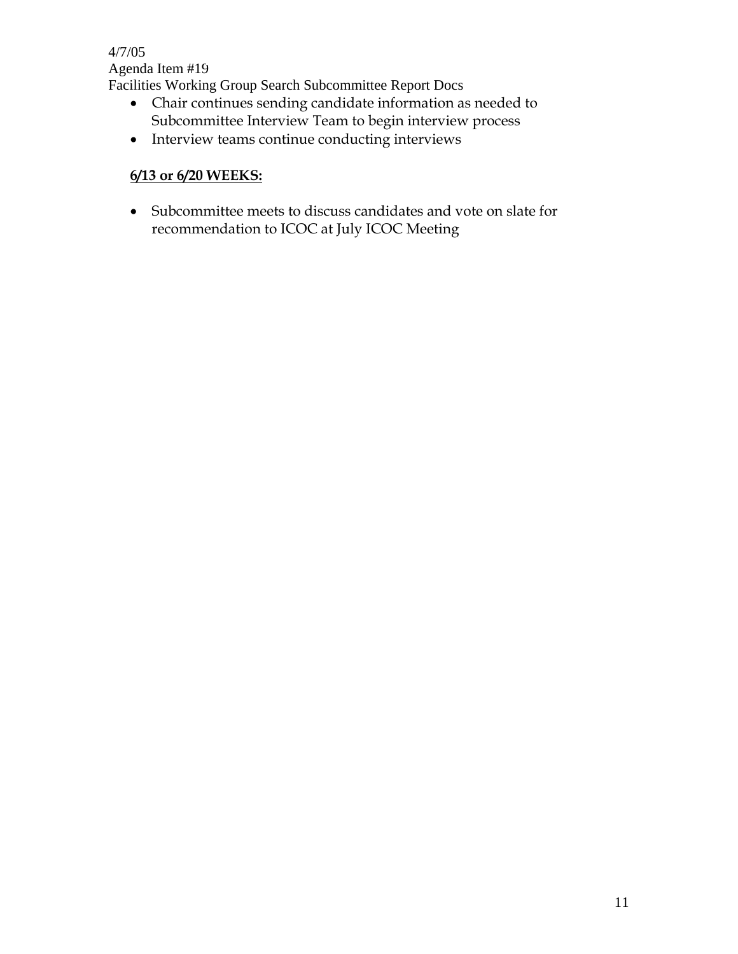- Chair continues sending candidate information as needed to Subcommittee Interview Team to begin interview process
- Interview teams continue conducting interviews

### **6/13 or 6/20 WEEKS:**

• Subcommittee meets to discuss candidates and vote on slate for recommendation to ICOC at July ICOC Meeting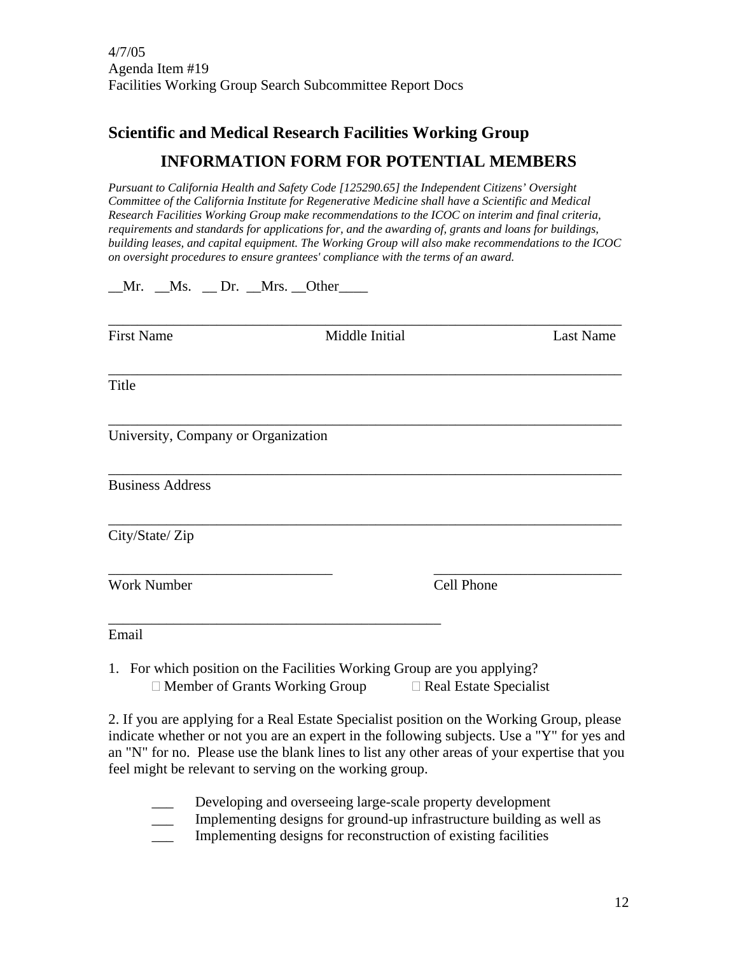# **Scientific and Medical Research Facilities Working Group INFORMATION FORM FOR POTENTIAL MEMBERS**

*Pursuant to California Health and Safety Code [125290.65] the Independent Citizens' Oversight Committee of the California Institute for Regenerative Medicine shall have a Scientific and Medical Research Facilities Working Group make recommendations to the ICOC on interim and final criteria, requirements and standards for applications for, and the awarding of, grants and loans for buildings, building leases, and capital equipment. The Working Group will also make recommendations to the ICOC on oversight procedures to ensure grantees' compliance with the terms of an award.* 

 $Mr.$   $Ms.$   $Dr.$   $Mrs.$   $Other$ 

| <b>First Name</b>                   | Middle Initial                                                          |            | Last Name |
|-------------------------------------|-------------------------------------------------------------------------|------------|-----------|
| Title                               |                                                                         |            |           |
| University, Company or Organization |                                                                         |            |           |
| <b>Business Address</b>             |                                                                         |            |           |
| City/State/Zip                      |                                                                         |            |           |
| <b>Work Number</b>                  |                                                                         | Cell Phone |           |
| Email                               |                                                                         |            |           |
|                                     | 1. For which position on the Facilities Working Group are you applying? |            |           |

 $\Box$  Member of Grants Working Group  $\Box$  Real Estate Specialist

2. If you are applying for a Real Estate Specialist position on the Working Group, please indicate whether or not you are an expert in the following subjects. Use a "Y" for yes and an "N" for no. Please use the blank lines to list any other areas of your expertise that you feel might be relevant to serving on the working group.

- Developing and overseeing large-scale property development
- \_\_\_ Implementing designs for ground-up infrastructure building as well as
- \_\_\_ Implementing designs for reconstruction of existing facilities